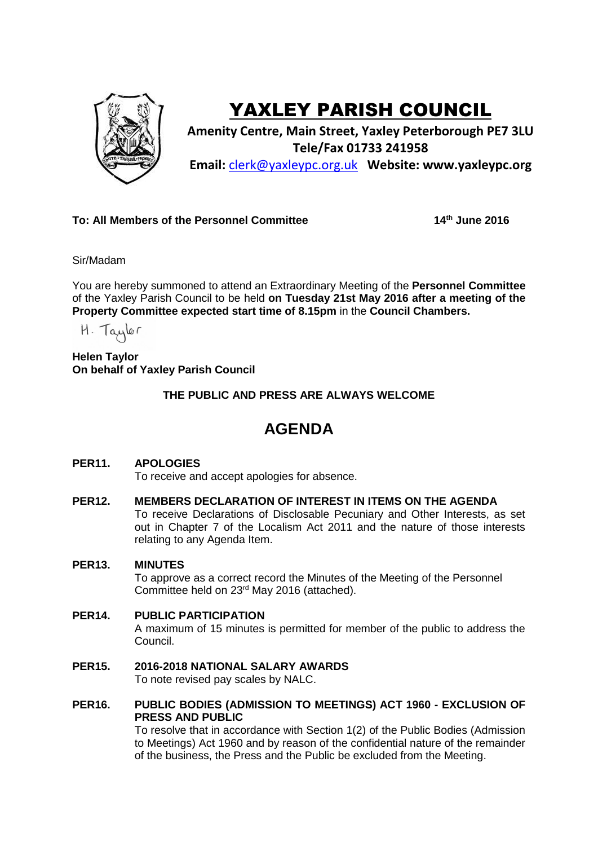

# YAXLEY PARISH COUNCIL

**Amenity Centre, Main Street, Yaxley Peterborough PE7 3LU Tele/Fax 01733 241958 Email:** [clerk@yaxleypc.org.uk](mailto:clerk@yaxleypc.org.uk) **Website: www.yaxleypc.org**

## **To: All Members of the Personnel Committee 14th June 2016**

Sir/Madam

You are hereby summoned to attend an Extraordinary Meeting of the **Personnel Committee** of the Yaxley Parish Council to be held **on Tuesday 21st May 2016 after a meeting of the Property Committee expected start time of 8.15pm** in the **Council Chambers.**

H. Taylor

**Helen Taylor On behalf of Yaxley Parish Council**

**THE PUBLIC AND PRESS ARE ALWAYS WELCOME**

## **AGENDA**

### **PER11. APOLOGIES**

To receive and accept apologies for absence.

#### **PER12. MEMBERS DECLARATION OF INTEREST IN ITEMS ON THE AGENDA**

To receive Declarations of Disclosable Pecuniary and Other Interests, as set out in Chapter 7 of the Localism Act 2011 and the nature of those interests relating to any Agenda Item.

#### **PER13. MINUTES**

To approve as a correct record the Minutes of the Meeting of the Personnel Committee held on 23rd May 2016 (attached).

#### **PER14. PUBLIC PARTICIPATION**

A maximum of 15 minutes is permitted for member of the public to address the Council.

#### **PER15. 2016-2018 NATIONAL SALARY AWARDS**

To note revised pay scales by NALC.

**PER16. PUBLIC BODIES (ADMISSION TO MEETINGS) ACT 1960 - EXCLUSION OF PRESS AND PUBLIC**

To resolve that in accordance with Section 1(2) of the Public Bodies (Admission to Meetings) Act 1960 and by reason of the confidential nature of the remainder of the business, the Press and the Public be excluded from the Meeting.